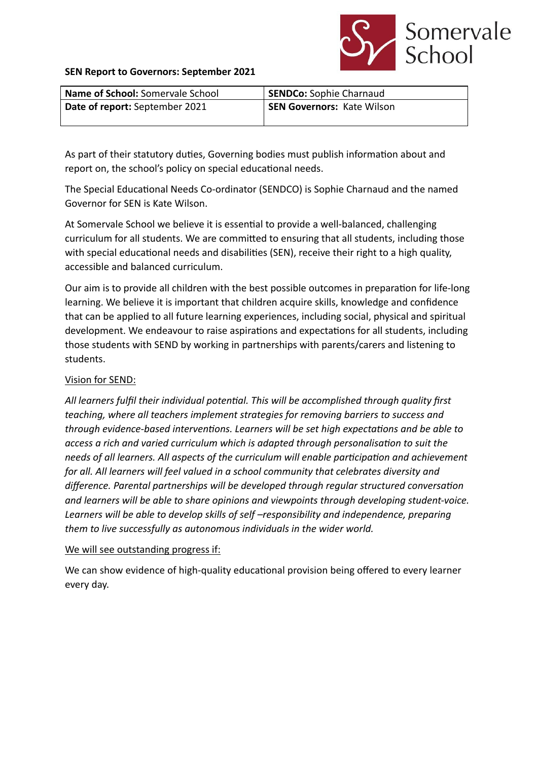

#### **SEN Report to Governors: September 2021**

| <b>Name of School:</b> Somervale School | <b>SENDCo: Sophie Charnaud</b>    |
|-----------------------------------------|-----------------------------------|
| Date of report: September 2021          | <b>SEN Governors: Kate Wilson</b> |
|                                         |                                   |

As part of their statutory duties, Governing bodies must publish information about and report on, the school's policy on special educational needs.

The Special Educational Needs Co-ordinator (SENDCO) is Sophie Charnaud and the named Governor for SEN is Kate Wilson.

At Somervale School we believe it is essential to provide a well-balanced, challenging curriculum for all students. We are committed to ensuring that all students, including those with special educational needs and disabilities (SEN), receive their right to a high quality, accessible and balanced curriculum.

Our aim is to provide all children with the best possible outcomes in preparation for life-long learning. We believe it is important that children acquire skills, knowledge and confidence that can be applied to all future learning experiences, including social, physical and spiritual development. We endeavour to raise aspirations and expectations for all students, including those students with SEND by working in partnerships with parents/carers and listening to students.

### Vision for SEND:

All learners fulfil their individual potential. This will be accomplished through quality first *teaching, where all teachers implement strategies for removing barriers to success and through evidence-based interventions. Learners will be set high expectations and be able to access a rich and varied curriculum which is adapted through personalisation to suit the needs of all learners. All aspects of the curriculum will enable participation and achievement for all. All learners will feel valued in a school community that celebrates diversity and* difference. Parental partnerships will be developed through regular structured conversation *and learners will be able to share opinions and viewpoints through developing student-voice. Learners will be able to develop skills of self –responsibility and independence, preparing them to live successfully as autonomous individuals in the wider world.*

#### We will see outstanding progress if:

We can show evidence of high-quality educational provision being offered to every learner every day.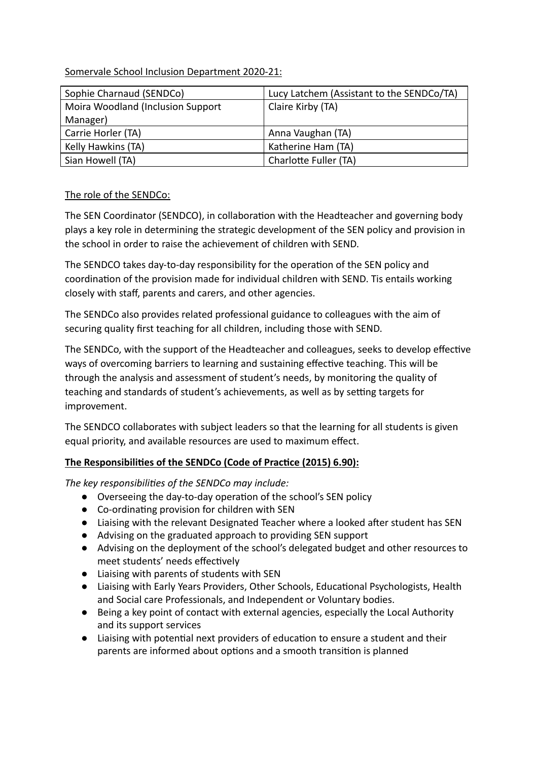# Somervale School Inclusion Department 2020-21:

| Sophie Charnaud (SENDCo)          | Lucy Latchem (Assistant to the SENDCo/TA) |
|-----------------------------------|-------------------------------------------|
| Moira Woodland (Inclusion Support | Claire Kirby (TA)                         |
| Manager)                          |                                           |
| Carrie Horler (TA)                | Anna Vaughan (TA)                         |
| Kelly Hawkins (TA)                | Katherine Ham (TA)                        |
| Sian Howell (TA)                  | Charlotte Fuller (TA)                     |

# The role of the SENDCo:

The SEN Coordinator (SENDCO), in collaboration with the Headteacher and governing body plays a key role in determining the strategic development of the SEN policy and provision in the school in order to raise the achievement of children with SEND.

The SENDCO takes day-to-day responsibility for the operation of the SEN policy and coordination of the provision made for individual children with SEND. Tis entails working closely with staff, parents and carers, and other agencies.

The SENDCo also provides related professional guidance to colleagues with the aim of securing quality first teaching for all children, including those with SEND.

The SENDCo, with the support of the Headteacher and colleagues, seeks to develop effective ways of overcoming barriers to learning and sustaining effective teaching. This will be through the analysis and assessment of student's needs, by monitoring the quality of teaching and standards of student's achievements, as well as by setting targets for improvement.

The SENDCO collaborates with subject leaders so that the learning for all students is given equal priority, and available resources are used to maximum effect.

# **The Responsibilities of the SENDCo (Code of Practice (2015) 6.90):**

The key responsibilities of the SENDCo may include:

- Overseeing the day-to-day operation of the school's SEN policy
- Co-ordinating provision for children with SEN
- Liaising with the relevant Designated Teacher where a looked after student has SEN
- Advising on the graduated approach to providing SEN support
- Advising on the deployment of the school's delegated budget and other resources to meet students' needs effectively
- Liaising with parents of students with SEN
- Liaising with Early Years Providers, Other Schools, Educational Psychologists, Health and Social care Professionals, and Independent or Voluntary bodies.
- Being a key point of contact with external agencies, especially the Local Authority and its support services
- Liaising with potential next providers of education to ensure a student and their parents are informed about options and a smooth transition is planned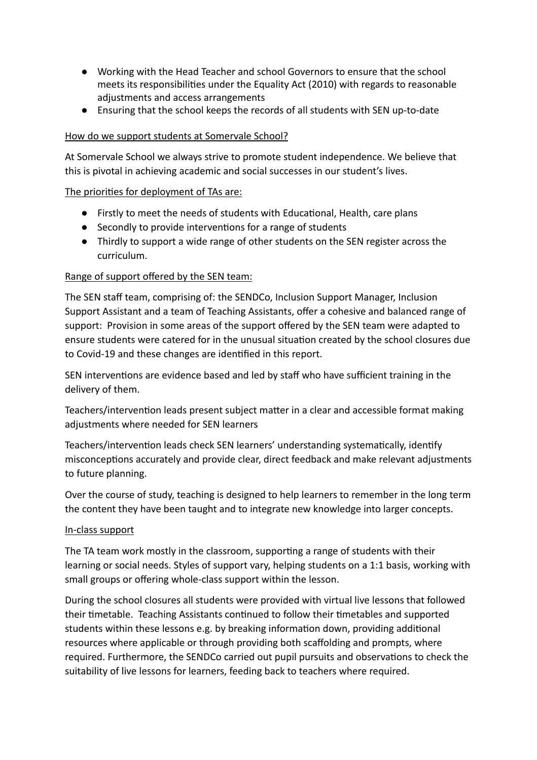- Working with the Head Teacher and school Governors to ensure that the school meets its responsibilities under the Equality Act (2010) with regards to reasonable adjustments and access arrangements
- Ensuring that the school keeps the records of all students with SEN up-to-date

### How do we support students at Somervale School?

At Somervale School we always strive to promote student independence. We believe that this is pivotal in achieving academic and social successes in our student's lives.

### The priorities for deployment of TAs are:

- Firstly to meet the needs of students with Educational, Health, care plans
- Secondly to provide interventions for a range of students
- Thirdly to support a wide range of other students on the SEN register across the curriculum.

### Range of support offered by the SEN team:

The SEN staff team, comprising of: the SENDCo, Inclusion Support Manager, Inclusion Support Assistant and a team of Teaching Assistants, offer a cohesive and balanced range of support: Provision in some areas of the support offered by the SEN team were adapted to ensure students were catered for in the unusual situation created by the school closures due to Covid-19 and these changes are identified in this report.

SEN interventions are evidence based and led by staff who have sufficient training in the delivery of them.

Teachers/intervention leads present subject matter in a clear and accessible format making adjustments where needed for SEN learners

Teachers/intervention leads check SEN learners' understanding systematically, identify misconceptions accurately and provide clear, direct feedback and make relevant adjustments to future planning.

Over the course of study, teaching is designed to help learners to remember in the long term the content they have been taught and to integrate new knowledge into larger concepts.

#### In-class support

The TA team work mostly in the classroom, supporting a range of students with their learning or social needs. Styles of support vary, helping students on a 1:1 basis, working with small groups or offering whole-class support within the lesson.

During the school closures all students were provided with virtual live lessons that followed their timetable. Teaching Assistants continued to follow their timetables and supported students within these lessons e.g. by breaking information down, providing additional resources where applicable or through providing both scaffolding and prompts, where required. Furthermore, the SENDCo carried out pupil pursuits and observations to check the suitability of live lessons for learners, feeding back to teachers where required.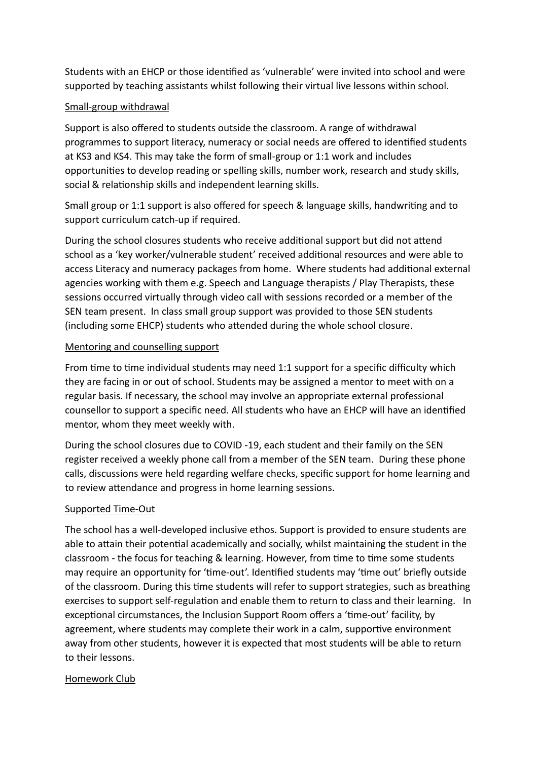Students with an EHCP or those idenfied as 'vulnerable' were invited into school and were supported by teaching assistants whilst following their virtual live lessons within school.

# Small-group withdrawal

Support is also offered to students outside the classroom. A range of withdrawal programmes to support literacy, numeracy or social needs are offered to idenfied students at KS3 and KS4. This may take the form of small-group or 1:1 work and includes opportunies to develop reading or spelling skills, number work, research and study skills, social & relationship skills and independent learning skills.

Small group or 1:1 support is also offered for speech & language skills, handwriting and to support curriculum catch-up if required.

During the school closures students who receive additional support but did not attend school as a 'key worker/vulnerable student' received additional resources and were able to access Literacy and numeracy packages from home. Where students had additional external agencies working with them e.g. Speech and Language therapists / Play Therapists, these sessions occurred virtually through video call with sessions recorded or a member of the SEN team present. In class small group support was provided to those SEN students (including some EHCP) students who attended during the whole school closure.

# Mentoring and counselling support

From time to time individual students may need 1:1 support for a specific difficulty which they are facing in or out of school. Students may be assigned a mentor to meet with on a regular basis. If necessary, the school may involve an appropriate external professional counsellor to support a specific need. All students who have an EHCP will have an idenfied mentor, whom they meet weekly with.

During the school closures due to COVID -19, each student and their family on the SEN register received a weekly phone call from a member of the SEN team. During these phone calls, discussions were held regarding welfare checks, specific support for home learning and to review attendance and progress in home learning sessions.

# Supported Time-Out

The school has a well-developed inclusive ethos. Support is provided to ensure students are able to attain their potential academically and socially, whilst maintaining the student in the classroom - the focus for teaching & learning. However, from time to time some students may require an opportunity for 'time-out'. Identified students may 'time out' briefly outside of the classroom. During this time students will refer to support strategies, such as breathing exercises to support self-regulation and enable them to return to class and their learning. In exceptional circumstances, the Inclusion Support Room offers a 'time-out' facility, by agreement, where students may complete their work in a calm, supportive environment away from other students, however it is expected that most students will be able to return to their lessons.

# Homework Club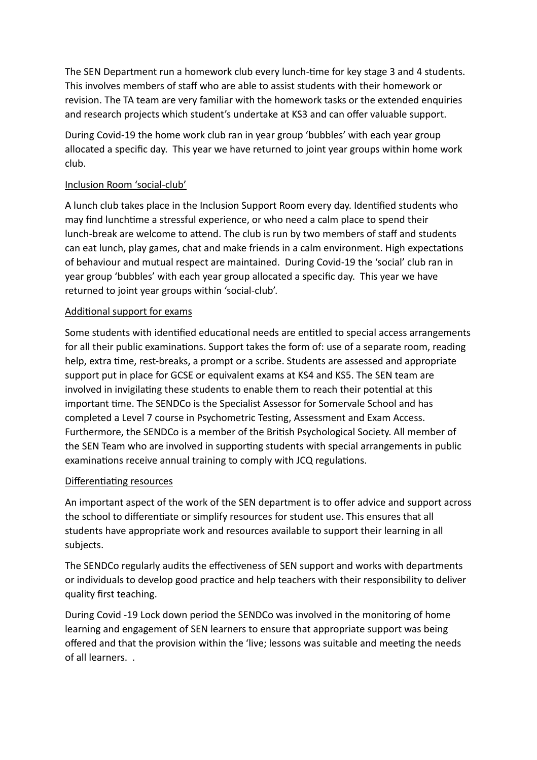The SEN Department run a homework club every lunch-time for key stage 3 and 4 students. This involves members of staff who are able to assist students with their homework or revision. The TA team are very familiar with the homework tasks or the extended enquiries and research projects which student's undertake at KS3 and can offer valuable support.

During Covid-19 the home work club ran in year group 'bubbles' with each year group allocated a specific day. This year we have returned to joint year groups within home work club.

# Inclusion Room 'social-club'

A lunch club takes place in the Inclusion Support Room every day. Idenfied students who may find lunchtime a stressful experience, or who need a calm place to spend their lunch-break are welcome to attend. The club is run by two members of staff and students can eat lunch, play games, chat and make friends in a calm environment. High expectations of behaviour and mutual respect are maintained. During Covid-19 the 'social' club ran in year group 'bubbles' with each year group allocated a specific day. This year we have returned to joint year groups within 'social-club'.

# Additional support for exams

Some students with identified educational needs are entitled to special access arrangements for all their public examinations. Support takes the form of: use of a separate room, reading help, extra time, rest-breaks, a prompt or a scribe. Students are assessed and appropriate support put in place for GCSE or equivalent exams at KS4 and KS5. The SEN team are involved in invigilating these students to enable them to reach their potential at this important time. The SENDCo is the Specialist Assessor for Somervale School and has completed a Level 7 course in Psychometric Testing, Assessment and Exam Access. Furthermore, the SENDCo is a member of the British Psychological Society. All member of the SEN Team who are involved in supporting students with special arrangements in public examinations receive annual training to comply with JCQ regulations.

# Differentiating resources

An important aspect of the work of the SEN department is to offer advice and support across the school to differentiate or simplify resources for student use. This ensures that all students have appropriate work and resources available to support their learning in all subjects.

The SENDCo regularly audits the effectiveness of SEN support and works with departments or individuals to develop good practice and help teachers with their responsibility to deliver quality first teaching.

During Covid -19 Lock down period the SENDCo was involved in the monitoring of home learning and engagement of SEN learners to ensure that appropriate support was being offered and that the provision within the 'live; lessons was suitable and meeting the needs of all learners. .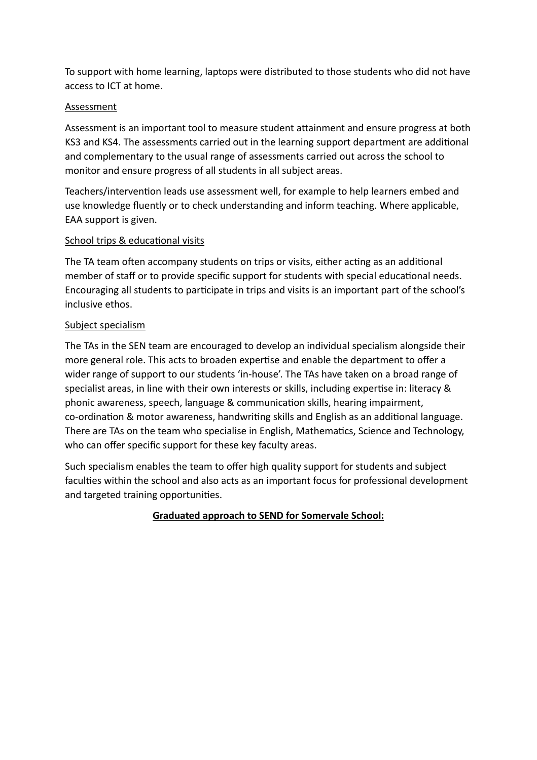To support with home learning, laptops were distributed to those students who did not have access to ICT at home.

# Assessment

Assessment is an important tool to measure student attainment and ensure progress at both KS3 and KS4. The assessments carried out in the learning support department are additional and complementary to the usual range of assessments carried out across the school to monitor and ensure progress of all students in all subject areas.

Teachers/intervention leads use assessment well, for example to help learners embed and use knowledge fluently or to check understanding and inform teaching. Where applicable, EAA support is given.

# School trips & educational visits

The TA team often accompany students on trips or visits, either acting as an additional member of staff or to provide specific support for students with special educational needs. Encouraging all students to participate in trips and visits is an important part of the school's inclusive ethos.

# Subject specialism

The TAs in the SEN team are encouraged to develop an individual specialism alongside their more general role. This acts to broaden expertise and enable the department to offer a wider range of support to our students 'in-house'. The TAs have taken on a broad range of specialist areas, in line with their own interests or skills, including expertise in: literacy & phonic awareness, speech, language & communication skills, hearing impairment, co-ordination & motor awareness, handwriting skills and English as an additional language. There are TAs on the team who specialise in English, Mathematics, Science and Technology, who can offer specific support for these key faculty areas.

Such specialism enables the team to offer high quality support for students and subject faculties within the school and also acts as an important focus for professional development and targeted training opportunities.

# **Graduated approach to SEND for Somervale School:**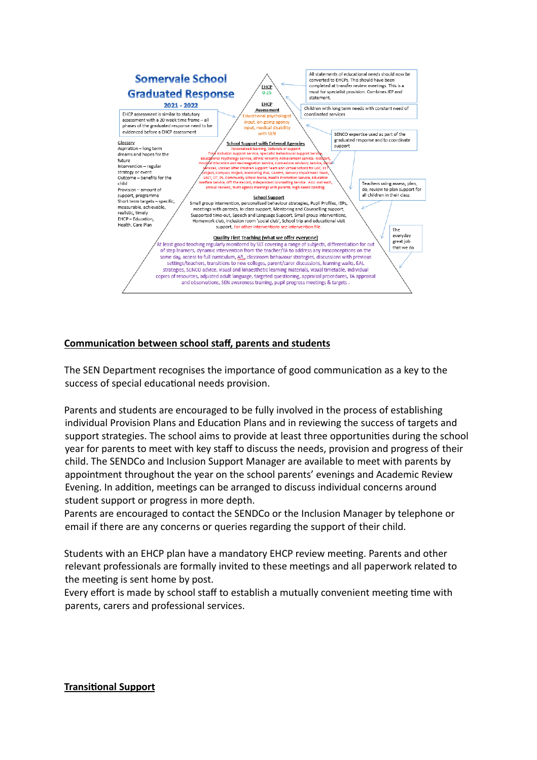

# **Communication between school staff, parents and students**

The SEN Department recognises the importance of good communication as a key to the success of special educational needs provision.

Parents and students are encouraged to be fully involved in the process of establishing individual Provision Plans and Education Plans and in reviewing the success of targets and support strategies. The school aims to provide at least three opportunities during the school year for parents to meet with key staff to discuss the needs, provision and progress of their child. The SENDCo and Inclusion Support Manager are available to meet with parents by appointment throughout the year on the school parents' evenings and Academic Review Evening. In addition, meetings can be arranged to discuss individual concerns around student support or progress in more depth.

Parents are encouraged to contact the SENDCo or the Inclusion Manager by telephone or email if there are any concerns or queries regarding the support of their child.

Students with an EHCP plan have a mandatory EHCP review meeting. Parents and other relevant professionals are formally invited to these meetings and all paperwork related to the meeting is sent home by post.

Every effort is made by school staff to establish a mutually convenient meeting time with parents, carers and professional services.

#### **Transitional Support**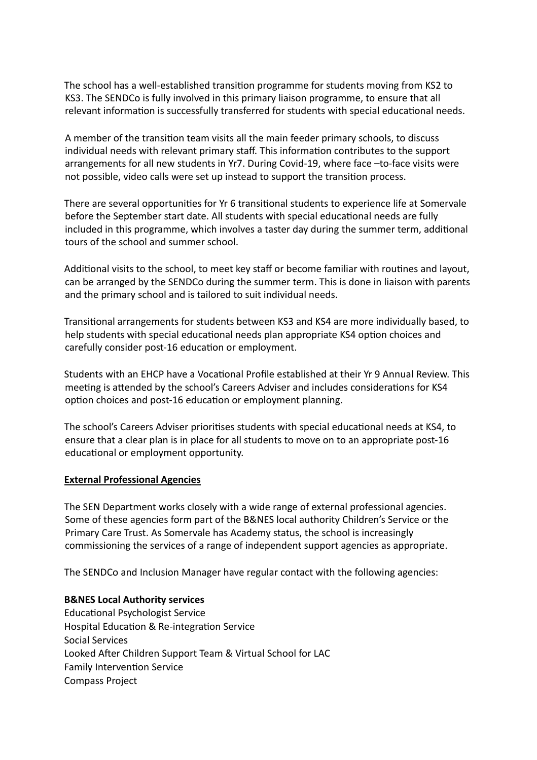The school has a well-established transition programme for students moving from KS2 to KS3. The SENDCo is fully involved in this primary liaison programme, to ensure that all relevant information is successfully transferred for students with special educational needs.

A member of the transition team visits all the main feeder primary schools, to discuss individual needs with relevant primary staff. This information contributes to the support arrangements for all new students in Yr7. During Covid-19, where face –to-face visits were not possible, video calls were set up instead to support the transition process.

There are several opportunities for Yr 6 transitional students to experience life at Somervale before the September start date. All students with special educational needs are fully included in this programme, which involves a taster day during the summer term, additional tours of the school and summer school.

Additional visits to the school, to meet key staff or become familiar with routines and layout, can be arranged by the SENDCo during the summer term. This is done in liaison with parents and the primary school and is tailored to suit individual needs.

Transitional arrangements for students between KS3 and KS4 are more individually based, to help students with special educational needs plan appropriate KS4 option choices and carefully consider post-16 education or employment.

Students with an EHCP have a Vocational Profile established at their Yr 9 Annual Review. This meeting is attended by the school's Careers Adviser and includes considerations for KS4 option choices and post-16 education or employment planning.

The school's Careers Adviser prioritises students with special educational needs at KS4, to ensure that a clear plan is in place for all students to move on to an appropriate post-16 educational or employment opportunity.

#### **External Professional Agencies**

The SEN Department works closely with a wide range of external professional agencies. Some of these agencies form part of the B&NES local authority Children's Service or the Primary Care Trust. As Somervale has Academy status, the school is increasingly commissioning the services of a range of independent support agencies as appropriate.

The SENDCo and Inclusion Manager have regular contact with the following agencies:

#### **B&NES Local Authority services**

Educational Psychologist Service Hospital Education & Re-integration Service Social Services Looked After Children Support Team & Virtual School for LAC Family Intervention Service Compass Project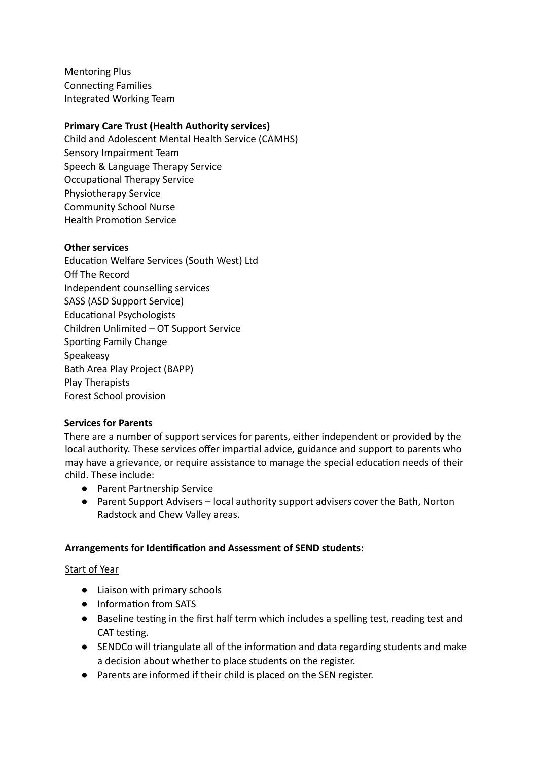Mentoring Plus **Connecting Families** Integrated Working Team

# **Primary Care Trust (Health Authority services)**

Child and Adolescent Mental Health Service (CAMHS) Sensory Impairment Team Speech & Language Therapy Service Occupational Therapy Service Physiotherapy Service Community School Nurse Health Promotion Service

### **Other services**

Education Welfare Services (South West) Ltd Off The Record Independent counselling services SASS (ASD Support Service) Educational Psychologists Children Unlimited – OT Support Service Sporting Family Change Speakeasy Bath Area Play Project (BAPP) Play Therapists Forest School provision

#### **Services for Parents**

There are a number of support services for parents, either independent or provided by the local authority. These services offer impartial advice, guidance and support to parents who may have a grievance, or require assistance to manage the special education needs of their child. These include:

- Parent Partnership Service
- Parent Support Advisers local authority support advisers cover the Bath, Norton Radstock and Chew Valley areas.

# **Arrangements for Identification and Assessment of SEND students:**

# Start of Year

- Liaison with primary schools
- Information from SATS
- Baseline testing in the first half term which includes a spelling test, reading test and CAT testing.
- SENDCo will triangulate all of the information and data regarding students and make a decision about whether to place students on the register.
- Parents are informed if their child is placed on the SEN register.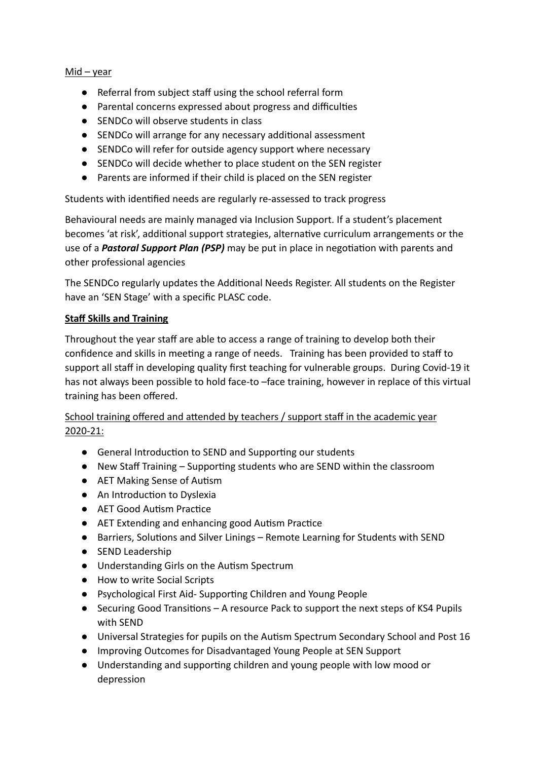### Mid – year

- Referral from subject staff using the school referral form
- Parental concerns expressed about progress and difficulties
- SENDCo will observe students in class
- SENDCo will arrange for any necessary additional assessment
- SENDCo will refer for outside agency support where necessary
- SENDCo will decide whether to place student on the SEN register
- Parents are informed if their child is placed on the SEN register

Students with identified needs are regularly re-assessed to track progress

Behavioural needs are mainly managed via Inclusion Support. If a student's placement becomes 'at risk', additional support strategies, alternative curriculum arrangements or the use of a **Pastoral Support Plan (PSP)** may be put in place in negotiation with parents and other professional agencies

The SENDCo regularly updates the Additional Needs Register. All students on the Register have an 'SEN Stage' with a specific PLASC code.

# **Staff Skills and Training**

Throughout the year staff are able to access a range of training to develop both their confidence and skills in meeting a range of needs. Training has been provided to staff to support all staff in developing quality first teaching for vulnerable groups. During Covid-19 it has not always been possible to hold face-to –face training, however in replace of this virtual training has been offered.

# School training offered and attended by teachers / support staff in the academic year 2020-21:

- General Introduction to SEND and Supporting our students
- $\bullet$  New Staff Training Supporting students who are SEND within the classroom
- AET Making Sense of Autism
- An Introduction to Dyslexia
- AET Good Autism Practice
- AET Extending and enhancing good Autism Practice
- Barriers, Solutions and Silver Linings Remote Learning for Students with SEND
- SEND Leadership
- Understanding Girls on the Autism Spectrum
- How to write Social Scripts
- Psychological First Aid- Supporting Children and Young People
- Securing Good Transitions A resource Pack to support the next steps of KS4 Pupils with SEND
- Universal Strategies for pupils on the Autism Spectrum Secondary School and Post 16
- Improving Outcomes for Disadvantaged Young People at SEN Support
- Understanding and supporting children and young people with low mood or depression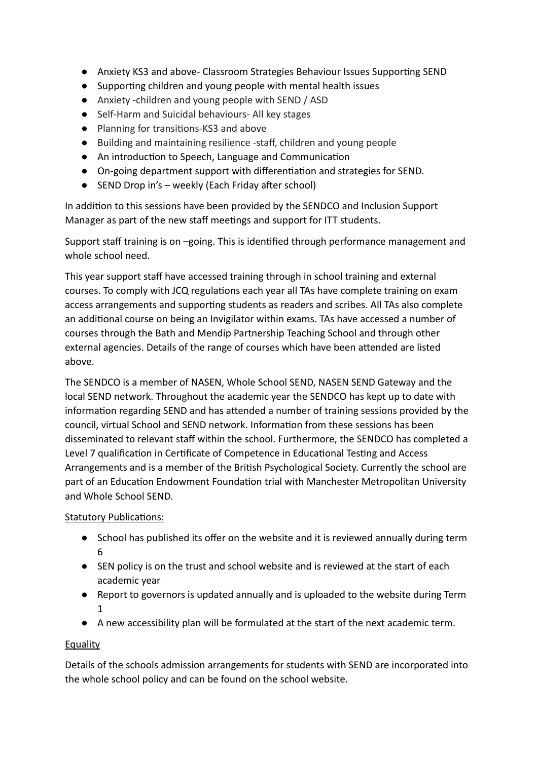- Anxiety KS3 and above- Classroom Strategies Behaviour Issues Supporting SEND
- Supporting children and young people with mental health issues
- Anxiety -children and young people with SEND / ASD
- Self-Harm and Suicidal behaviours- All key stages
- Planning for transitions-KS3 and above
- Building and maintaining resilience -staff, children and young people
- An introduction to Speech, Language and Communication
- On-going department support with differentiation and strategies for SEND.
- $\bullet$  SEND Drop in's weekly (Each Friday after school)

In addition to this sessions have been provided by the SENDCO and Inclusion Support Manager as part of the new staff meetings and support for ITT students.

Support staff training is on -going. This is identified through performance management and whole school need.

This year support staff have accessed training through in school training and external courses. To comply with JCQ regulations each year all TAs have complete training on exam access arrangements and supporting students as readers and scribes. All TAs also complete an additional course on being an Invigilator within exams. TAs have accessed a number of courses through the Bath and Mendip Partnership Teaching School and through other external agencies. Details of the range of courses which have been attended are listed above.

The SENDCO is a member of NASEN, Whole School SEND, NASEN SEND Gateway and the local SEND network. Throughout the academic year the SENDCO has kept up to date with information regarding SEND and has attended a number of training sessions provided by the council, virtual School and SEND network. Information from these sessions has been disseminated to relevant staff within the school. Furthermore, the SENDCO has completed a Level 7 qualification in Certificate of Competence in Educational Testing and Access Arrangements and is a member of the British Psychological Society. Currently the school are part of an Education Endowment Foundation trial with Manchester Metropolitan University and Whole School SEND.

Statutory Publications:

- School has published its offer on the website and it is reviewed annually during term 6
- SEN policy is on the trust and school website and is reviewed at the start of each academic year
- Report to governors is updated annually and is uploaded to the website during Term 1
- A new accessibility plan will be formulated at the start of the next academic term.

# **Equality**

Details of the schools admission arrangements for students with SEND are incorporated into the whole school policy and can be found on the school website.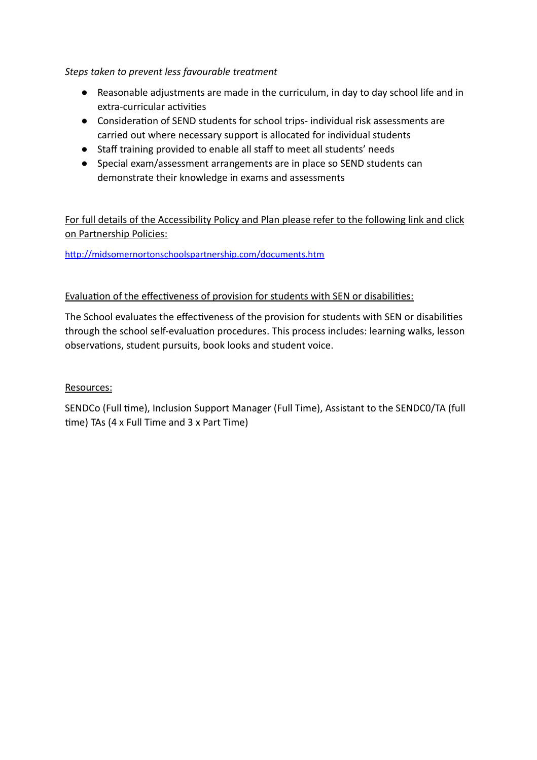# *Steps taken to prevent less favourable treatment*

- Reasonable adjustments are made in the curriculum, in day to day school life and in extra-curricular activities
- Consideration of SEND students for school trips- individual risk assessments are carried out where necessary support is allocated for individual students
- Staff training provided to enable all staff to meet all students' needs
- Special exam/assessment arrangements are in place so SEND students can demonstrate their knowledge in exams and assessments

For full details of the Accessibility Policy and Plan please refer to the following link and click on Partnership Policies:

http://midsomernortonschoolspartnership.com/documents.htm

# Evaluation of the effectiveness of provision for students with SEN or disabilities:

The School evaluates the effectiveness of the provision for students with SEN or disabilities through the school self-evaluation procedures. This process includes: learning walks, lesson observations, student pursuits, book looks and student voice.

# Resources:

SENDCo (Full time), Inclusion Support Manager (Full Time), Assistant to the SENDCO/TA (full time) TAs (4 x Full Time and 3 x Part Time)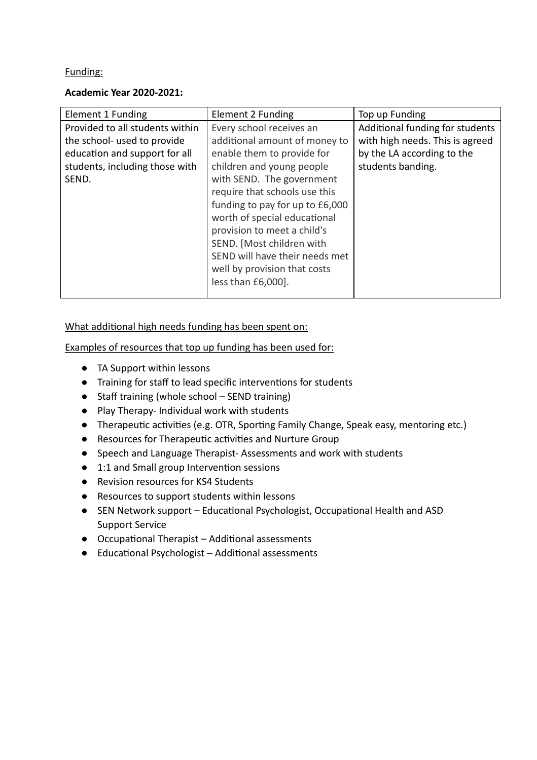# Funding:

### **Academic Year 2020-2021:**

| Element 1 Funding               | Element 2 Funding               | Top up Funding                  |
|---------------------------------|---------------------------------|---------------------------------|
| Provided to all students within | Every school receives an        | Additional funding for students |
| the school- used to provide     | additional amount of money to   | with high needs. This is agreed |
| education and support for all   | enable them to provide for      | by the LA according to the      |
| students, including those with  | children and young people       | students banding.               |
| SEND.                           | with SEND. The government       |                                 |
|                                 | require that schools use this   |                                 |
|                                 | funding to pay for up to £6,000 |                                 |
|                                 | worth of special educational    |                                 |
|                                 | provision to meet a child's     |                                 |
|                                 | SEND. [Most children with       |                                 |
|                                 | SEND will have their needs met  |                                 |
|                                 | well by provision that costs    |                                 |
|                                 | less than £6,000].              |                                 |
|                                 |                                 |                                 |

What additional high needs funding has been spent on:

Examples of resources that top up funding has been used for:

- TA Support within lessons
- Training for staff to lead specific interventions for students
- Staff training (whole school SEND training)
- Play Therapy- Individual work with students
- Therapeutic activities (e.g. OTR, Sporting Family Change, Speak easy, mentoring etc.)
- Resources for Therapeutic activities and Nurture Group
- Speech and Language Therapist- Assessments and work with students
- 1:1 and Small group Intervention sessions
- Revision resources for KS4 Students
- Resources to support students within lessons
- SEN Network support Educational Psychologist, Occupational Health and ASD Support Service
- $\bullet$  Occupational Therapist Additional assessments
- Educational Psychologist Additional assessments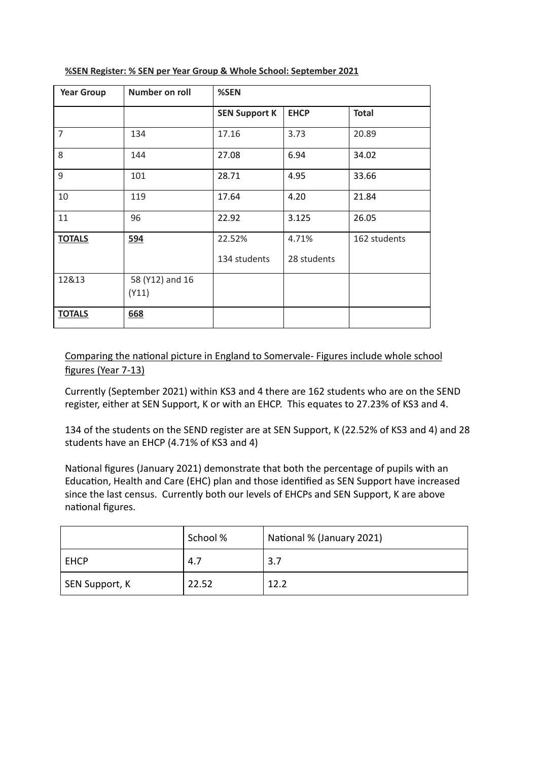| <b>Year Group</b> | Number on roll  | %SEN                 |             |              |
|-------------------|-----------------|----------------------|-------------|--------------|
|                   |                 | <b>SEN Support K</b> | <b>EHCP</b> | <b>Total</b> |
| $\overline{7}$    | 134             | 17.16                | 3.73        | 20.89        |
| 8                 | 144             | 27.08                | 6.94        | 34.02        |
| 9                 | 101             | 28.71                | 4.95        | 33.66        |
| 10                | 119             | 17.64                | 4.20        | 21.84        |
| 11                | 96              | 22.92                | 3.125       | 26.05        |
| <b>TOTALS</b>     | 594             | 22.52%               | 4.71%       | 162 students |
|                   |                 | 134 students         | 28 students |              |
| 12&13             | 58 (Y12) and 16 |                      |             |              |
|                   | (Y11)           |                      |             |              |
| <b>TOTALS</b>     | 668             |                      |             |              |

#### **%SEN Register: % SEN per Year Group & Whole School: September 2021**

# Comparing the national picture in England to Somervale- Figures include whole school figures (Year 7-13)

Currently (September 2021) within KS3 and 4 there are 162 students who are on the SEND register, either at SEN Support, K or with an EHCP. This equates to 27.23% of KS3 and 4.

134 of the students on the SEND register are at SEN Support, K (22.52% of KS3 and 4) and 28 students have an EHCP (4.71% of KS3 and 4)

National figures (January 2021) demonstrate that both the percentage of pupils with an Education, Health and Care (EHC) plan and those identified as SEN Support have increased since the last census. Currently both our levels of EHCPs and SEN Support, K are above national figures.

|                | School % | National % (January 2021) |
|----------------|----------|---------------------------|
| <b>EHCP</b>    | 4.7      | 3.7                       |
| SEN Support, K | 22.52    | 12.2                      |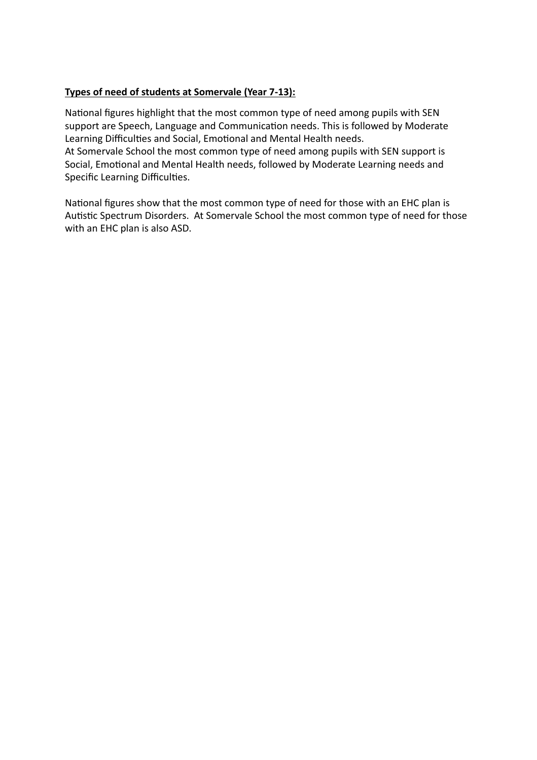# **Types of need of students at Somervale (Year 7-13):**

National figures highlight that the most common type of need among pupils with SEN support are Speech, Language and Communication needs. This is followed by Moderate Learning Difficulties and Social, Emotional and Mental Health needs. At Somervale School the most common type of need among pupils with SEN support is Social, Emotional and Mental Health needs, followed by Moderate Learning needs and Specific Learning Difficulties.

National figures show that the most common type of need for those with an EHC plan is Autistic Spectrum Disorders. At Somervale School the most common type of need for those with an EHC plan is also ASD.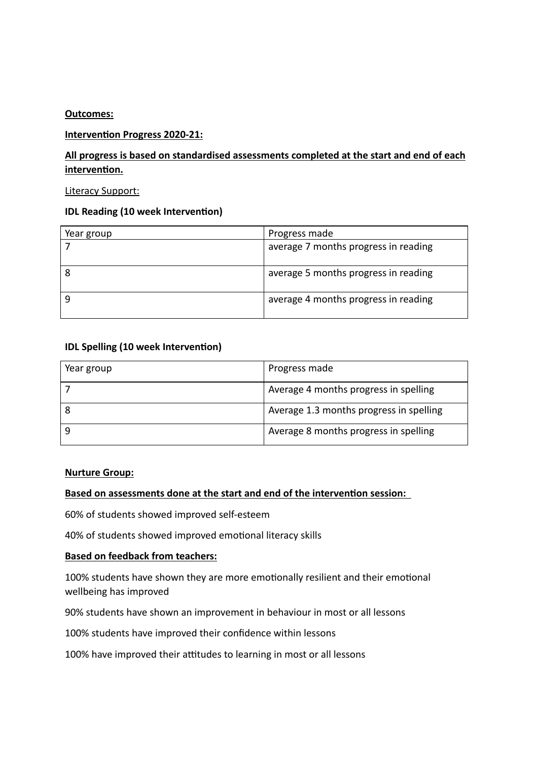#### **Outcomes:**

### **Intervention Progress 2020-21:**

# **All progress is based on standardised assessments completed at the start and end of each** intervention.

#### Literacy Support:

### **IDL Reading (10 week Intervention)**

| Year group | Progress made                        |
|------------|--------------------------------------|
|            | average 7 months progress in reading |
| 8          | average 5 months progress in reading |
| q          | average 4 months progress in reading |

### **IDL Spelling (10 week Intervention)**

| Year group | Progress made                           |
|------------|-----------------------------------------|
|            | Average 4 months progress in spelling   |
|            | Average 1.3 months progress in spelling |
|            | Average 8 months progress in spelling   |

#### **Nurture Group:**

# **Based on assessments done at the start and end of the intervention session:**

60% of students showed improved self-esteem

40% of students showed improved emotional literacy skills

# **Based on feedback from teachers:**

100% students have shown they are more emotionally resilient and their emotional wellbeing has improved

90% students have shown an improvement in behaviour in most or all lessons

100% students have improved their confidence within lessons

100% have improved their attitudes to learning in most or all lessons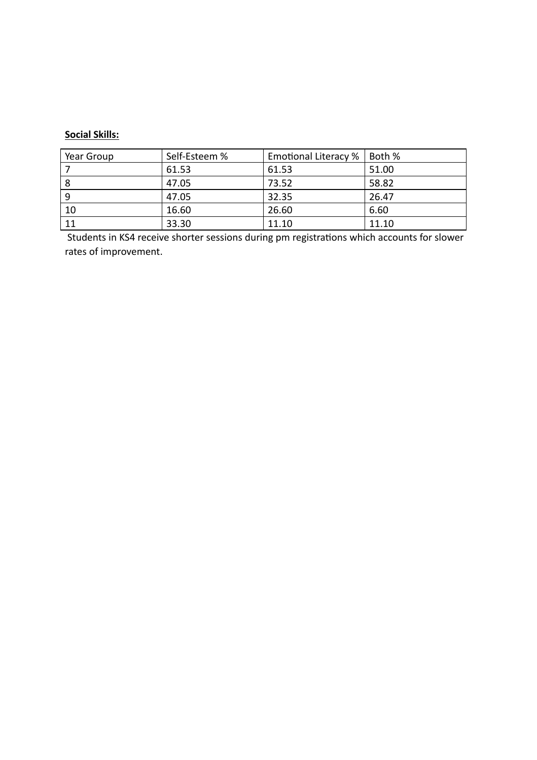# **Social Skills:**

| Year Group | Self-Esteem % | Emotional Literacy % | Both % |
|------------|---------------|----------------------|--------|
|            | 61.53         | 61.53                | 51.00  |
| 8          | 47.05         | 73.52                | 58.82  |
| 9          | 47.05         | 32.35                | 26.47  |
| 10         | 16.60         | 26.60                | 6.60   |
| 11         | 33.30         | 11.10                | 11.10  |

Students in KS4 receive shorter sessions during pm registrations which accounts for slower rates of improvement.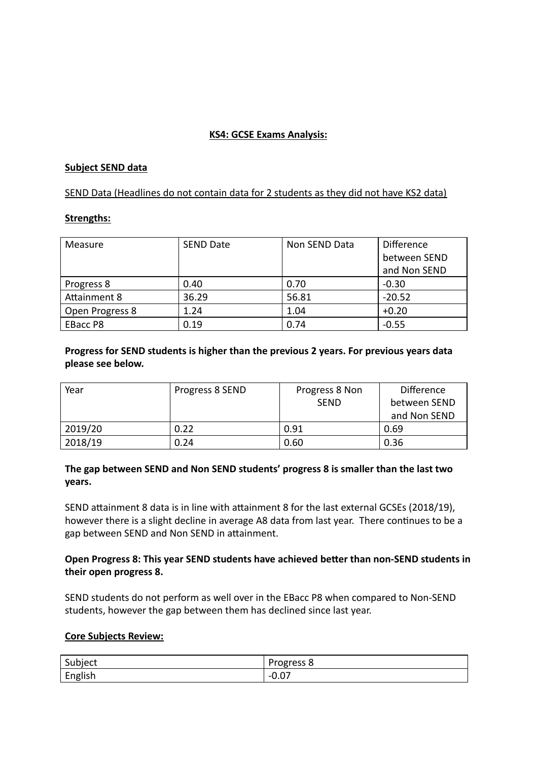### **KS4: GCSE Exams Analysis:**

#### **Subject SEND data**

SEND Data (Headlines do not contain data for 2 students as they did not have KS2 data)

#### **Strengths:**

| Measure         | <b>SEND Date</b> | Non SEND Data | <b>Difference</b> |
|-----------------|------------------|---------------|-------------------|
|                 |                  |               | between SEND      |
|                 |                  |               | and Non SEND      |
| Progress 8      | 0.40             | 0.70          | $-0.30$           |
| Attainment 8    | 36.29            | 56.81         | $-20.52$          |
| Open Progress 8 | 1.24             | 1.04          | $+0.20$           |
| <b>EBacc P8</b> | 0.19             | 0.74          | $-0.55$           |

**Progress for SEND students is higher than the previous 2 years. For previous years data please see below.**

| Year    | Progress 8 SEND | Progress 8 Non<br><b>SEND</b> | <b>Difference</b><br>between SEND<br>and Non SEND |
|---------|-----------------|-------------------------------|---------------------------------------------------|
| 2019/20 | 0.22            | 0.91                          | 0.69                                              |
| 2018/19 | 0.24            | 0.60                          | 0.36                                              |

# **The gap between SEND and Non SEND students' progress 8 is smaller than the last two years.**

SEND attainment 8 data is in line with attainment 8 for the last external GCSEs (2018/19), however there is a slight decline in average A8 data from last year. There continues to be a gap between SEND and Non SEND in attainment.

### **Open Progress 8: This year SEND students have achieved better than non-SEND students in their open progress 8.**

SEND students do not perform as well over in the EBacc P8 when compared to Non-SEND students, however the gap between them has declined since last year.

#### **Core Subjects Review:**

| C<br>Subject             | -<br>. )raaracc<br><del>c</del> აა o<br>י פ |
|--------------------------|---------------------------------------------|
| $\cdots$<br>_<br>English | $\overline{\phantom{0}}$<br>-v.v,           |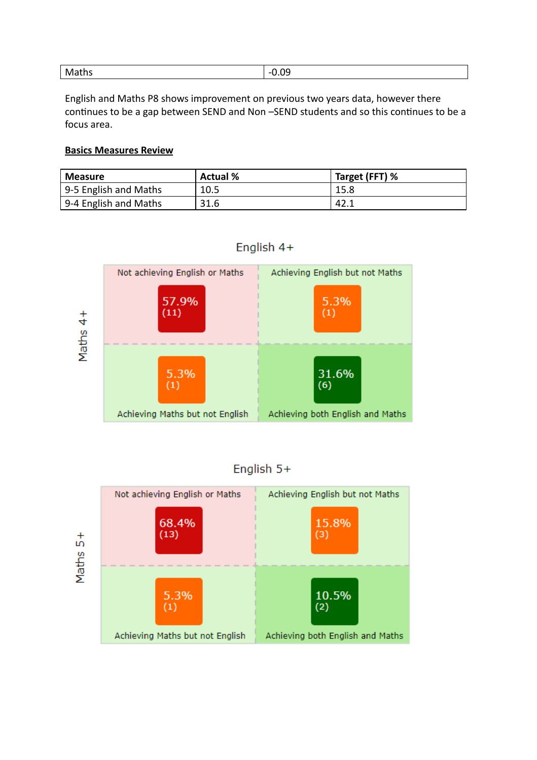| $\sim$ | na    |
|--------|-------|
| M      | $-1$  |
| aths   | v.v., |
|        |       |

English and Maths P8 shows improvement on previous two years data, however there continues to be a gap between SEND and Non-SEND students and so this continues to be a focus area.

#### **Basics Measures Review**

| <b>Measure</b>        | ' Actual % | Target (FFT) % |
|-----------------------|------------|----------------|
| 9-5 English and Maths | 10.5       | 15.8           |
| 9-4 English and Maths | 31.6       | 142.1          |



# English 4+

| English $5+$ |  |
|--------------|--|
|              |  |
|              |  |

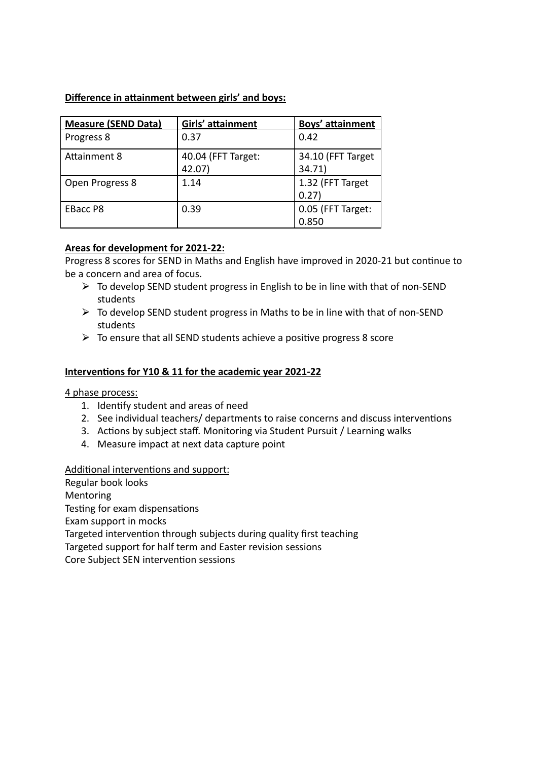### **Difference in attainment between girls' and boys:**

| <b>Measure (SEND Data)</b> | Girls' attainment            | Boys' attainment            |
|----------------------------|------------------------------|-----------------------------|
| Progress 8                 | 0.37                         | 0.42                        |
| Attainment 8               | 40.04 (FFT Target:<br>42.07) | 34.10 (FFT Target<br>34.71) |
| Open Progress 8            | 1.14                         | 1.32 (FFT Target<br>0.27)   |
| <b>EBacc P8</b>            | 0.39                         | 0.05 (FFT Target:<br>0.850  |

### **Areas for development for 2021-22:**

Progress 8 scores for SEND in Maths and English have improved in 2020-21 but continue to be a concern and area of focus.

- $\triangleright$  To develop SEND student progress in English to be in line with that of non-SEND students
- $\triangleright$  To develop SEND student progress in Maths to be in line with that of non-SEND students
- $\triangleright$  To ensure that all SEND students achieve a positive progress 8 score

#### **Interventions for Y10 & 11 for the academic year 2021-22**

4 phase process:

- 1. Identify student and areas of need
- 2. See individual teachers/ departments to raise concerns and discuss interventions
- 3. Actions by subject staff. Monitoring via Student Pursuit / Learning walks
- 4. Measure impact at next data capture point

#### Additional interventions and support:

Regular book looks Mentoring Testing for exam dispensations Exam support in mocks Targeted intervention through subjects during quality first teaching Targeted support for half term and Easter revision sessions Core Subject SEN intervention sessions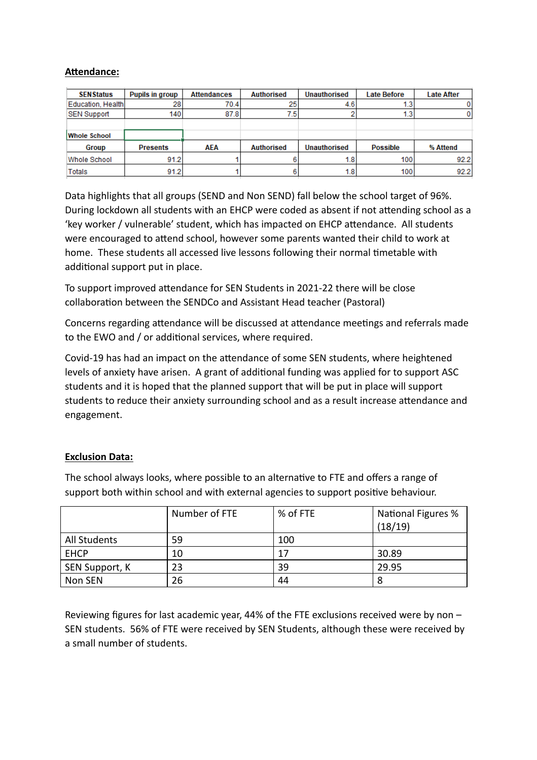### **Attendance:**

| <b>SENStatus</b>    | Pupils in group | <b>Attendances</b> | <b>Authorised</b> | <b>Unauthorised</b> | <b>Late Before</b> | <b>Late After</b> |
|---------------------|-----------------|--------------------|-------------------|---------------------|--------------------|-------------------|
| Education, Health   | 28              | 70.4               | 25                | 4.6                 | 1.0                |                   |
| <b>SEN Support</b>  | 1401            | 87.8               | 7.51              |                     | 1.3                |                   |
|                     |                 |                    |                   |                     |                    |                   |
| <b>Whole School</b> |                 |                    |                   |                     |                    |                   |
| Group               | <b>Presents</b> | AEA                | <b>Authorised</b> | <b>Unauthorised</b> | <b>Possible</b>    | % Attend          |
| <b>Whole School</b> | 91.2            |                    |                   | 1.8 <sub>1</sub>    | 100                | 92.2              |
| Totals              | 91.2            |                    |                   | 1.8 <sub>1</sub>    | 100                | 92.2              |

Data highlights that all groups (SEND and Non SEND) fall below the school target of 96%. During lockdown all students with an EHCP were coded as absent if not attending school as a 'key worker / vulnerable' student, which has impacted on EHCP attendance. All students were encouraged to attend school, however some parents wanted their child to work at home. These students all accessed live lessons following their normal timetable with additional support put in place.

To support improved attendance for SEN Students in 2021-22 there will be close collaboration between the SENDCo and Assistant Head teacher (Pastoral)

Concerns regarding attendance will be discussed at attendance meetings and referrals made to the EWO and / or additional services, where required.

Covid-19 has had an impact on the attendance of some SEN students, where heightened levels of anxiety have arisen. A grant of additional funding was applied for to support ASC students and it is hoped that the planned support that will be put in place will support students to reduce their anxiety surrounding school and as a result increase attendance and engagement.

# **Exclusion Data:**

The school always looks, where possible to an alternative to FTE and offers a range of support both within school and with external agencies to support positive behaviour.

|                | Number of FTE | % of FTE | <b>National Figures %</b><br>(18/19) |
|----------------|---------------|----------|--------------------------------------|
| All Students   | 59            | 100      |                                      |
| <b>EHCP</b>    | 10            | 17       | 30.89                                |
| SEN Support, K | 23            | 39       | 29.95                                |
| Non SEN        | 26            | 44       | 8                                    |

Reviewing figures for last academic year, 44% of the FTE exclusions received were by non – SEN students. 56% of FTE were received by SEN Students, although these were received by a small number of students.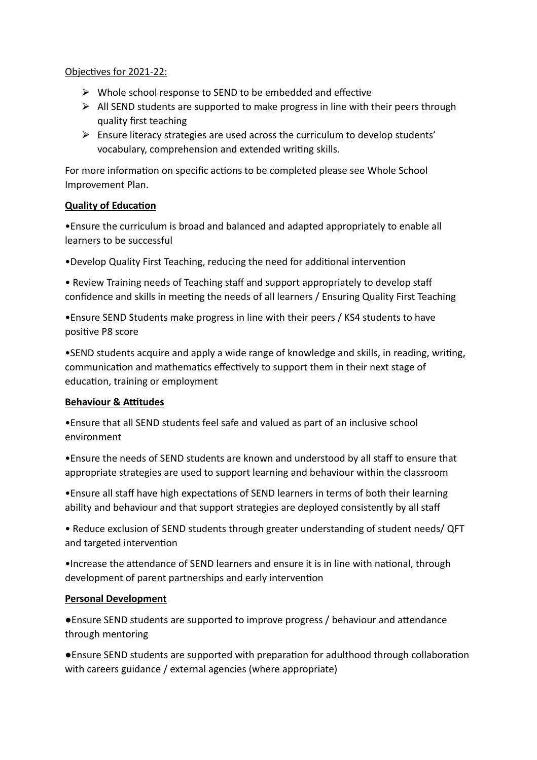### Objectives for 2021-22:

- $\triangleright$  Whole school response to SEND to be embedded and effective
- $\triangleright$  All SEND students are supported to make progress in line with their peers through quality first teaching
- $\triangleright$  Ensure literacy strategies are used across the curriculum to develop students' vocabulary, comprehension and extended writing skills.

For more information on specific actions to be completed please see Whole School Improvement Plan.

# **Quality of Education**

•Ensure the curriculum is broad and balanced and adapted appropriately to enable all learners to be successful

•Develop Quality First Teaching, reducing the need for additional intervention

• Review Training needs of Teaching staff and support appropriately to develop staff confidence and skills in meeting the needs of all learners / Ensuring Quality First Teaching

•Ensure SEND Students make progress in line with their peers / KS4 students to have positive P8 score

•SEND students acquire and apply a wide range of knowledge and skills, in reading, writing, communication and mathematics effectively to support them in their next stage of education, training or employment

# **Behaviour & Attitudes**

•Ensure that all SEND students feel safe and valued as part of an inclusive school environment

•Ensure the needs of SEND students are known and understood by all staff to ensure that appropriate strategies are used to support learning and behaviour within the classroom

•Ensure all staff have high expectations of SEND learners in terms of both their learning ability and behaviour and that support strategies are deployed consistently by all staff

• Reduce exclusion of SEND students through greater understanding of student needs/ QFT and targeted intervention

•Increase the attendance of SEND learners and ensure it is in line with national, through development of parent partnerships and early intervention

# **Personal Development**

●Ensure SEND students are supported to improve progress / behaviour and attendance through mentoring

• Ensure SEND students are supported with preparation for adulthood through collaboration with careers guidance / external agencies (where appropriate)